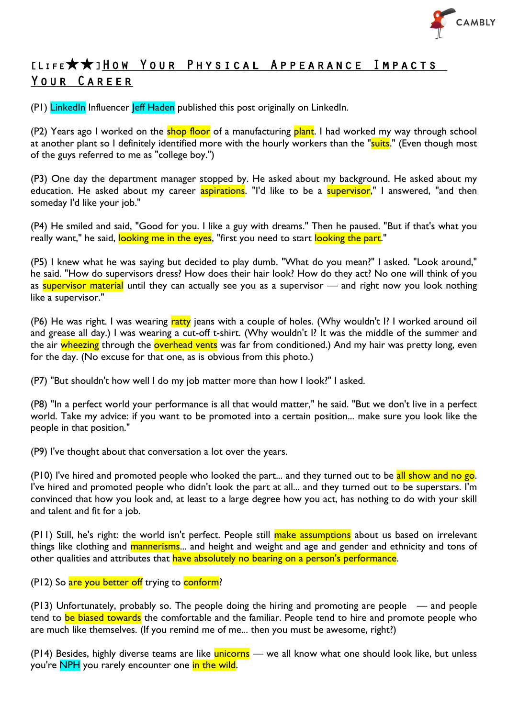

# [Life★★]How Your Physical Appearance Impacts Your Career

(P1) LinkedIn Influencer leff Haden published this post originally on LinkedIn.

(P2) Years ago I worked on the shop floor of a manufacturing plant. I had worked my way through school at another plant so I definitely identified more with the hourly workers than the "suits." (Even though most of the guys referred to me as "college boy.")

(P3) One day the department manager stopped by. He asked about my background. He asked about my education. He asked about my career **aspirations**. "I'd like to be a **supervisor**," I answered, "and then someday I'd like your job."

(P4) He smiled and said, "Good for you. I like a guy with dreams." Then he paused. "But if that's what you really want," he said, looking me in the eyes, "first you need to start looking the part."

(P5) I knew what he was saying but decided to play dumb. "What do you mean?" I asked. "Look around," he said. "How do supervisors dress? How does their hair look? How do they act? No one will think of you as supervisor material until they can actually see you as a supervisor — and right now you look nothing like a supervisor."

(P6) He was right. I was wearing ratty jeans with a couple of holes. (Why wouldn't I? I worked around oil and grease all day.) I was wearing a cut-off t-shirt. (Why wouldn't I? It was the middle of the summer and the air wheezing through the overhead vents was far from conditioned.) And my hair was pretty long, even for the day. (No excuse for that one, as is obvious from this photo.)

(P7) "But shouldn't how well I do my job matter more than how I look?" I asked.

(P8) "In a perfect world your performance is all that would matter," he said. "But we don't live in a perfect world. Take my advice: if you want to be promoted into a certain position... make sure you look like the people in that position."

(P9) I've thought about that conversation a lot over the years.

(P10) I've hired and promoted people who looked the part... and they turned out to be all show and no go. I've hired and promoted people who didn't look the part at all... and they turned out to be superstars. I'm convinced that how you look and, at least to a large degree how you act, has nothing to do with your skill and talent and fit for a job.

(P11) Still, he's right: the world isn't perfect. People still make assumptions about us based on irrelevant things like clothing and mannerisms... and height and weight and age and gender and ethnicity and tons of other qualities and attributes that have absolutely no bearing on a person's performance.

(P12) So are you better off trying to conform?

(P13) Unfortunately, probably so. The people doing the hiring and promoting are people — and people tend to be biased towards the comfortable and the familiar. People tend to hire and promote people who are much like themselves. (If you remind me of me... then you must be awesome, right?)

(P14) Besides, highly diverse teams are like *unicorns* — we all know what one should look like, but unless you're NPH you rarely encounter one in the wild.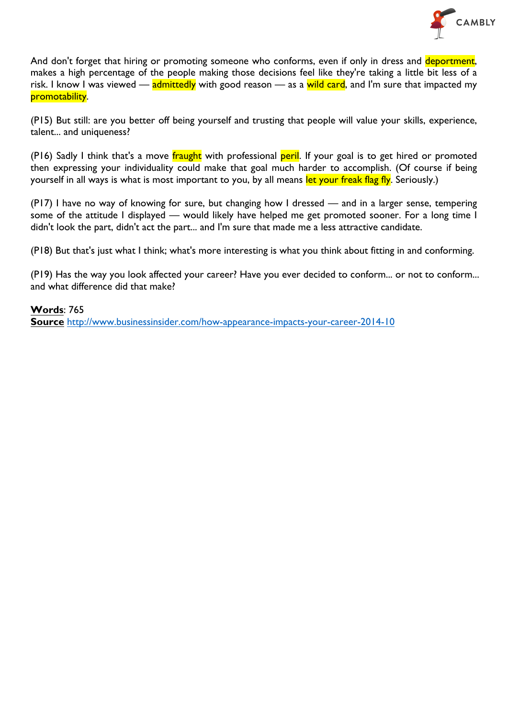

And don't forget that hiring or promoting someone who conforms, even if only in dress and deportment, makes a high percentage of the people making those decisions feel like they're taking a little bit less of a risk. I know I was viewed — admittedly with good reason — as a wild card, and I'm sure that impacted my promotability.

(P15) But still: are you better off being yourself and trusting that people will value your skills, experience, talent... and uniqueness?

(P16) Sadly I think that's a move fraught with professional peril. If your goal is to get hired or promoted then expressing your individuality could make that goal much harder to accomplish. (Of course if being yourself in all ways is what is most important to you, by all means let your freak flag fly. Seriously.)

(P17) I have no way of knowing for sure, but changing how I dressed — and in a larger sense, tempering some of the attitude I displayed — would likely have helped me get promoted sooner. For a long time I didn't look the part, didn't act the part... and I'm sure that made me a less attractive candidate.

(P18) But that's just what I think; what's more interesting is what you think about fitting in and conforming.

(P19) Has the way you look affected your career? Have you ever decided to conform... or not to conform... and what difference did that make?

**Words**: 765

**Source** http://www.businessinsider.com/how-appearance-impacts-your-career-2014-10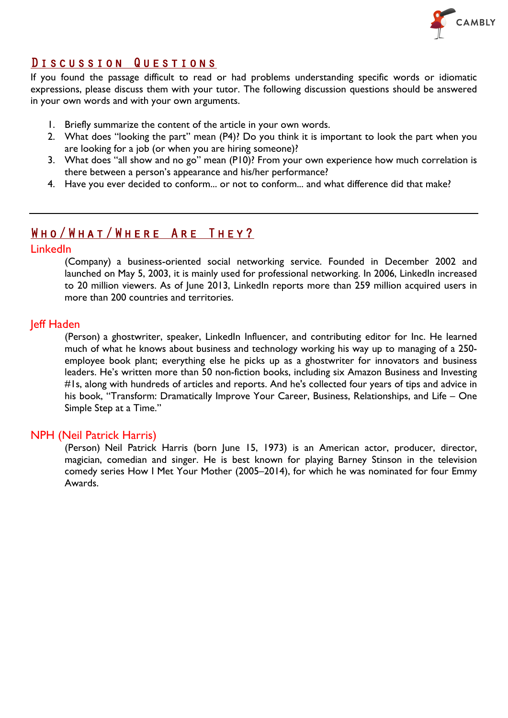

### Discussion Questions

If you found the passage difficult to read or had problems understanding specific words or idiomatic expressions, please discuss them with your tutor. The following discussion questions should be answered in your own words and with your own arguments.

- 1. Briefly summarize the content of the article in your own words.
- 2. What does "looking the part" mean (P4)? Do you think it is important to look the part when you are looking for a job (or when you are hiring someone)?
- 3. What does "all show and no go" mean (P10)? From your own experience how much correlation is there between a person's appearance and his/her performance?
- 4. Have you ever decided to conform... or not to conform... and what difference did that make?

## Who/What/Where Are They?

#### LinkedIn

(Company) a business-oriented social networking service. Founded in December 2002 and launched on May 5, 2003, it is mainly used for professional networking. In 2006, LinkedIn increased to 20 million viewers. As of June 2013, LinkedIn reports more than 259 million acquired users in more than 200 countries and territories.

#### Jeff Haden

(Person) a ghostwriter, speaker, LinkedIn Influencer, and contributing editor for Inc. He learned much of what he knows about business and technology working his way up to managing of a 250 employee book plant; everything else he picks up as a ghostwriter for innovators and business leaders. He's written more than 50 non-fiction books, including six Amazon Business and Investing #1s, along with hundreds of articles and reports. And he's collected four years of tips and advice in his book, "Transform: Dramatically Improve Your Career, Business, Relationships, and Life – One Simple Step at a Time."

#### NPH (Neil Patrick Harris)

(Person) Neil Patrick Harris (born June 15, 1973) is an American actor, producer, director, magician, comedian and singer. He is best known for playing Barney Stinson in the television comedy series How I Met Your Mother (2005–2014), for which he was nominated for four Emmy Awards.